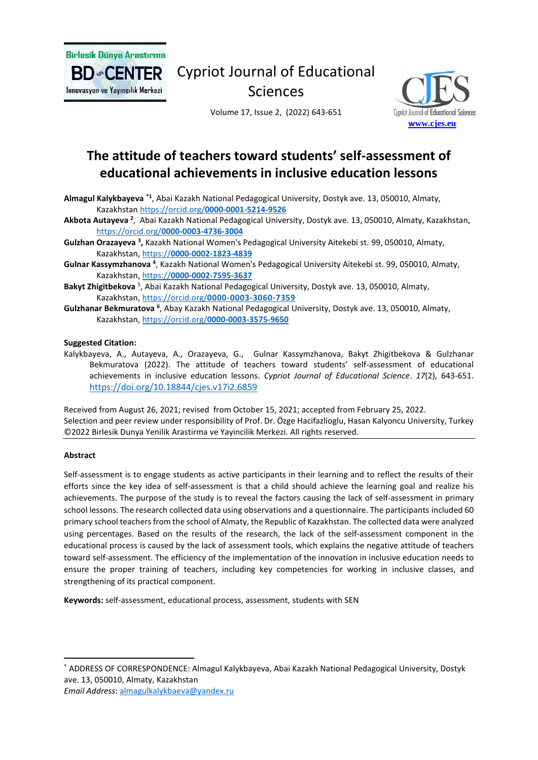

**BD** CENTER Innovasyon ve Yayıncılık Merkezi

# Cypriot Journal of Educational Sciences

Volume 17, Issue 2, (2022) 643-651



# **The attitude of teachers toward students' self-assessment of educational achievements in inclusive education lessons**

Almagul Kalykbayeva \*1, Abai Kazakh National Pedagogical University, Dostyk ave. 13, 050010, Almaty, Kazakhstan https://orcid.org/**[0000-0001-5214-9526](https://orcid.org/0000-0001-5214-9526)**

- **Akbota Autayeva <sup>2</sup>** , Abai Kazakh National Pedagogical University, Dostyk аve. 13, 050010, Almaty, Kazakhstan, https://orcid.org/**[0000-0003-4736-3004](https://orcid.org/0000-0003-4736-3004)**
- Gulzhan Orazayeva<sup>3</sup>, Kazakh National Women's Pedagogical University Aitekebi st. 99, 050010, Almaty, Kazakhstan, https://**[0000-0002-1823-4839](https://0000-0002-1823-4839/)**
- Gulnar Kassymzhanova <sup>4</sup>, Kazakh National Women's Pedagogical University Aitekebi st. 99, 050010, Almaty, Kazakhstan, https://**[0000-0002-7595-3637](https://0000-0002-7595-3637/)**
- Bakyt Zhigitbekova <sup>5</sup>, Abai Kazakh National Pedagogical University, Dostyk ave. 13, 050010, Almaty, Kazakhstan, https://orcid.org/**[0000-0003-3060-7359](https://orcid.org/0000-0003-3060-7359)**
- Gulzhanar Bekmuratova <sup>6</sup>, Abay Kazakh National Pedagogical University, Dostyk ave. 13, 050010, Almaty, Kazakhstan, https://orcid.org/**[0000-0003-3575-9650](https://orcid.org/0000-0003-3575-9650)**

## **Suggested Citation:**

Kalykbayeva, A., Autayeva, A., Orazayeva, G., Gulnar Kassymzhanova, Bakyt Zhigitbekova & Gulzhanar Bekmuratova (2022). The attitude of teachers toward students' self-assessment of educational achievements in inclusive education lessons. *Cypriot Journal of Educational Science*. *17*(2), 643-651. <https://doi.org/10.18844/cjes.v17i2.6859>

Received from August 26, 2021; revised from October 15, 2021; accepted from February 25, 2022. Selection and peer review under responsibility of Prof. Dr. Özge Hacifazlioglu, Hasan Kalyoncu University, Turkey ©2022 Birlesik Dunya Yenilik Arastirma ve Yayincilik Merkezi. All rights reserved.

#### **Abstract**

Self-assessment is to engage students as active participants in their learning and to reflect the results of their efforts since the key idea of self-assessment is that a child should achieve the learning goal and realize his achievements. The purpose of the study is to reveal the factors causing the lack of self-assessment in primary school lessons. The research collected data using observations and a questionnaire. The participants included 60 primary school teachers from the school of Almaty, the Republic of Kazakhstan. The collected data were analyzed using percentages. Based on the results of the research, the lack of the self-assessment component in the educational process is caused by the lack of assessment tools, which explains the negative attitude of teachers toward self-assessment. The efficiency of the implementation of the innovation in inclusive education needs to ensure the proper training of teachers, including key competencies for working in inclusive classes, and strengthening of its practical component.

**Keywords:** self-assessment, educational process, assessment, students with SEN

*Email Address*[: almagulkalykbaeva@yandex.ru](mailto:almagulkalykbaeva@yandex.ru)

<sup>\*</sup> ADDRESS OF CORRESPONDENCE: Almagul Kalykbayeva, Abai Kazakh National Pedagogical University, Dostyk аve. 13, 050010, Almaty, Kazakhstan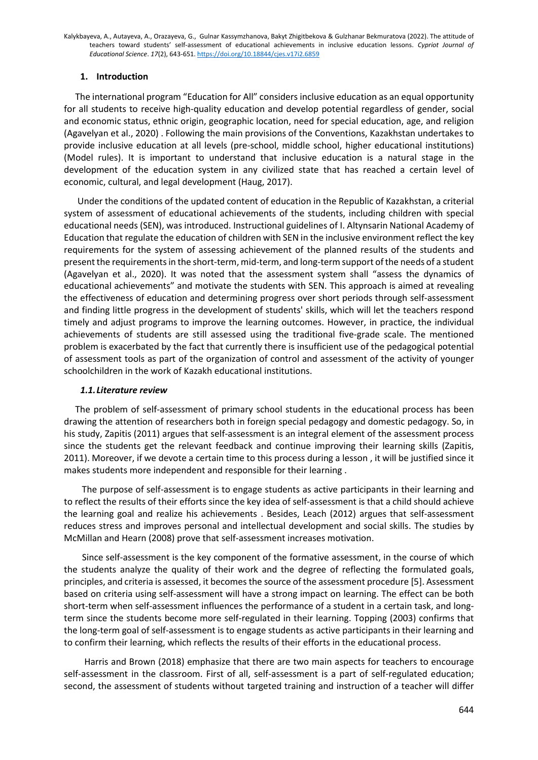# **1. Introduction**

 The international program "Education for All" considers inclusive education as an equal opportunity for all students to receive high-quality education and develop potential regardless of gender, social and economic status, ethnic origin, geographic location, need for special education, age, and religion (Agavelyan et al., 2020) . Following the main provisions of the Conventions, Kazakhstan undertakes to provide inclusive education at all levels (pre-school, middle school, higher educational institutions) (Model rules). It is important to understand that inclusive education is a natural stage in the development of the education system in any civilized state that has reached a certain level of economic, cultural, and legal development (Haug, 2017).

 Under the conditions of the updated content of education in the Republic of Kazakhstan, a criterial system of assessment of educational achievements of the students, including children with special educational needs (SEN), was introduced. Instructional guidelines of I. Altynsarin National Academy of Education that regulate the education of children with SEN in the inclusive environment reflect the key requirements for the system of assessing achievement of the planned results of the students and present the requirementsin the short-term, mid-term, and long-term support of the needs of a student (Agavelyan et al., 2020). It was noted that the assessment system shall "assess the dynamics of educational achievements" and motivate the students with SEN. This approach is aimed at revealing the effectiveness of education and determining progress over short periods through self-assessment and finding little progress in the development of students' skills, which will let the teachers respond timely and adjust programs to improve the learning outcomes. However, in practice, the individual achievements of students are still assessed using the traditional five-grade scale. The mentioned problem is exacerbated by the fact that currently there is insufficient use of the pedagogical potential of assessment tools as part of the organization of control and assessment of the activity of younger schoolchildren in the work of Kazakh educational institutions.

## *1.1.Literature review*

 The problem of self-assessment of primary school students in the educational process has been drawing the attention of researchers both in foreign special pedagogy and domestic pedagogy. So, in his study, Zapitis (2011) argues that self-assessment is an integral element of the assessment process since the students get the relevant feedback and continue improving their learning skills (Zapitis, 2011). Moreover, if we devote a certain time to this process during a lesson , it will be justified since it makes students more independent and responsible for their learning .

 The purpose of self-assessment is to engage students as active participants in their learning and to reflect the results of their efforts since the key idea of self-assessment is that a child should achieve the learning goal and realize his achievements . Besides, Leach (2012) argues that self-assessment reduces stress and improves personal and intellectual development and social skills. The studies by McMillan and Hearn (2008) prove that self-assessment increases motivation.

 Since self-assessment is the key component of the formative assessment, in the course of which the students analyze the quality of their work and the degree of reflecting the formulated goals, principles, and criteria is assessed, it becomes the source of the assessment procedure [5]. Assessment based on criteria using self-assessment will have a strong impact on learning. The effect can be both short-term when self-assessment influences the performance of a student in a certain task, and longterm since the students become more self-regulated in their learning. Topping (2003) confirms that the long-term goal of self-assessment is to engage students as active participants in their learning and to confirm their learning, which reflects the results of their efforts in the educational process.

 Harris and Brown (2018) emphasize that there are two main aspects for teachers to encourage self-assessment in the classroom. First of all, self-assessment is a part of self-regulated education; second, the assessment of students without targeted training and instruction of a teacher will differ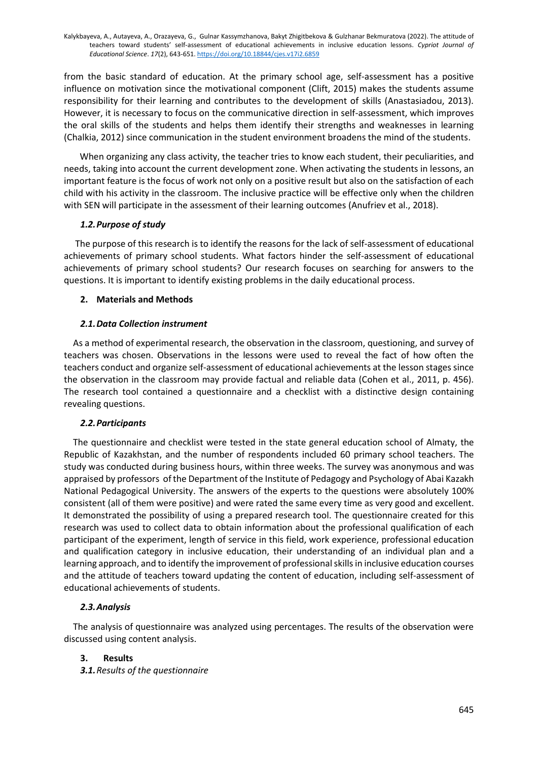from the basic standard of education. At the primary school age, self-assessment has a positive influence on motivation since the motivational component (Clift, 2015) makes the students assume responsibility for their learning and contributes to the development of skills (Anastasiadou, 2013). However, it is necessary to focus on the communicative direction in self-assessment, which improves the oral skills of the students and helps them identify their strengths and weaknesses in learning (Chalkia, 2012) since communication in the student environment broadens the mind of the students.

 When organizing any class activity, the teacher tries to know each student, their peculiarities, and needs, taking into account the current development zone. When activating the students in lessons, an important feature is the focus of work not only on a positive result but also on the satisfaction of each child with his activity in the classroom. The inclusive practice will be effective only when the children with SEN will participate in the assessment of their learning outcomes (Anufriev et al., 2018).

## *1.2.Purpose of study*

 The purpose of this research is to identify the reasons for the lack of self-assessment of educational achievements of primary school students. What factors hinder the self-assessment of educational achievements of primary school students? Our research focuses on searching for answers to the questions. It is important to identify existing problems in the daily educational process.

# **2. Materials and Methods**

# *2.1.Data Collection instrument*

As a method of experimental research, the observation in the classroom, questioning, and survey of teachers was chosen. Observations in the lessons were used to reveal the fact of how often the teachers conduct and organize self-assessment of educational achievements at the lesson stages since the observation in the classroom may provide factual and reliable data (Cohen et al., 2011, p. 456). The research tool contained a questionnaire and a checklist with a distinctive design containing revealing questions.

# *2.2.Participants*

 The questionnaire and checklist were tested in the state general education school of Almaty, the Republic of Kazakhstan, and the number of respondents included 60 primary school teachers. The study was conducted during business hours, within three weeks. The survey was anonymous and was appraised by professors of the Department of the Institute of Pedagogy and Psychology of Abai Kazakh National Pedagogical University. The answers of the experts to the questions were absolutely 100% consistent (all of them were positive) and were rated the same every time as very good and excellent. It demonstrated the possibility of using a prepared research tool. The questionnaire created for this research was used to collect data to obtain information about the professional qualification of each participant of the experiment, length of service in this field, work experience, professional education and qualification category in inclusive education, their understanding of an individual plan and a learning approach, and to identify the improvement of professional skills in inclusive education courses and the attitude of teachers toward updating the content of education, including self-assessment of educational achievements of students.

# *2.3.Analysis*

 The analysis of questionnaire was analyzed using percentages. The results of the observation were discussed using content analysis.

# **3. Results**

*3.1.Results of the questionnaire*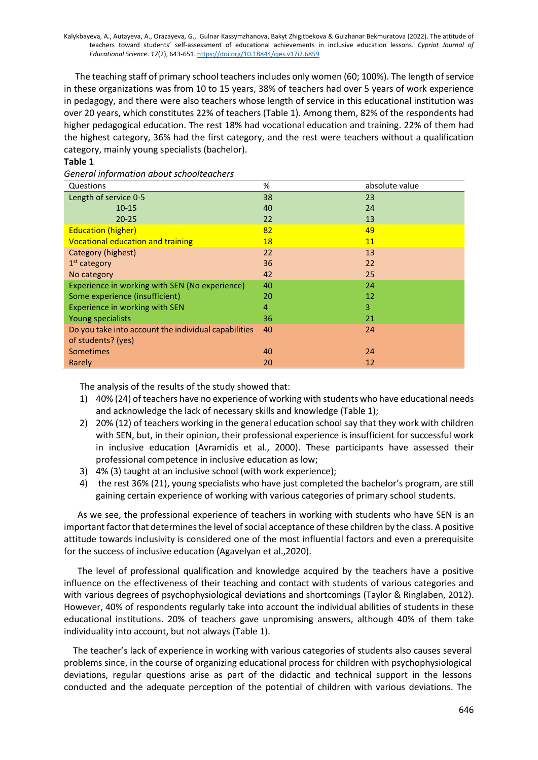The teaching staff of primary school teachers includes only women (60; 100%). The length of service in these organizations was from 10 to 15 years, 38% of teachers had over 5 years of work experience in pedagogy, and there were also teachers whose length of service in this educational institution was over 20 years, which constitutes 22% of teachers (Table 1). Among them, 82% of the respondents had higher pedagogical education. The rest 18% had vocational education and training. 22% of them had the highest category, 36% had the first category, and the rest were teachers without a qualification category, mainly young specialists (bachelor).

## **Table 1**

*General information about schoolteachers*

| Questions                                            | %  | absolute value |
|------------------------------------------------------|----|----------------|
| Length of service 0-5                                | 38 | 23             |
| $10 - 15$                                            | 40 | 24             |
| $20 - 25$                                            | 22 | 13             |
| <b>Education (higher)</b>                            | 82 | 49             |
| <b>Vocational education and training</b>             | 18 | 11             |
| Category (highest)                                   | 22 | 13             |
| $1st$ category                                       | 36 | 22             |
| No category                                          | 42 | 25             |
| Experience in working with SEN (No experience)       | 40 | 24             |
| Some experience (insufficient)                       | 20 | 12             |
| Experience in working with SEN                       | 4  | 3              |
| Young specialists                                    | 36 | 21             |
| Do you take into account the individual capabilities | 40 | 24             |
| of students? (yes)                                   |    |                |
| <b>Sometimes</b>                                     | 40 | 24             |
| Rarely                                               | 20 | 12             |

The analysis of the results of the study showed that:

- 1) 40% (24) of teachers have no experience of working with students who have educational needs and acknowledge the lack of necessary skills and knowledge (Table 1);
- 2) 20% (12) of teachers working in the general education school say that they work with children with SEN, but, in their opinion, their professional experience is insufficient for successful work in inclusive education (Avramidis et al., 2000). These participants have assessed their professional competence in inclusive education as low;
- 3) 4% (3) taught at an inclusive school (with work experience);
- 4) the rest 36% (21), young specialists who have just completed the bachelor's program, are still gaining certain experience of working with various categories of primary school students.

 As we see, the professional experience of teachers in working with students who have SEN is an important factor that determines the level of social acceptance of these children by the class. A positive attitude towards inclusivity is considered one of the most influential factors and even a prerequisite for the success of inclusive education (Agavelyan et al.,2020).

 The level of professional qualification and knowledge acquired by the teachers have a positive influence on the effectiveness of their teaching and contact with students of various categories and with various degrees of psychophysiological deviations and shortcomings (Taylor & Ringlaben, 2012). However, 40% of respondents regularly take into account the individual abilities of students in these educational institutions. 20% of teachers gave unpromising answers, although 40% of them take individuality into account, but not always (Table 1).

 The teacher's lack of experience in working with various categories of students also causes several problems since, in the course of organizing educational process for children with psychophysiological deviations, regular questions arise as part of the didactic and technical support in the lessons conducted and the adequate perception of the potential of children with various deviations. The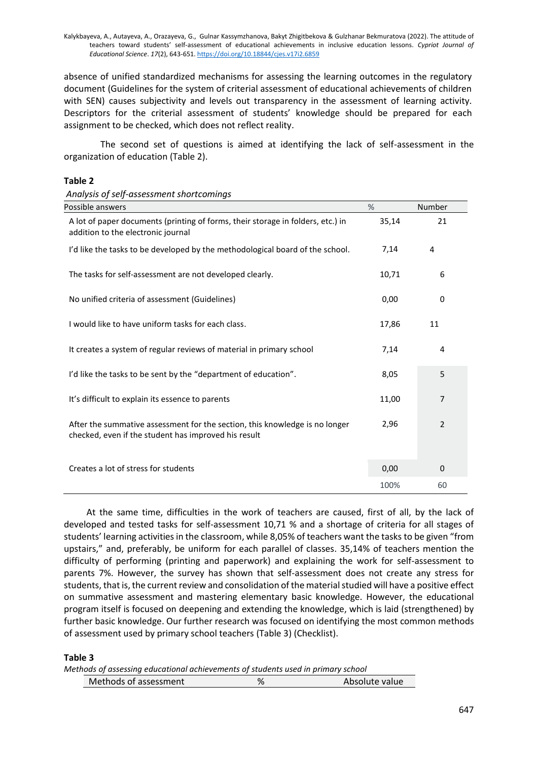absence of unified standardized mechanisms for assessing the learning outcomes in the regulatory document (Guidelines for the system of criterial assessment of educational achievements of children with SEN) causes subjectivity and levels out transparency in the assessment of learning activity. Descriptors for the criterial assessment of students' knowledge should be prepared for each assignment to be checked, which does not reflect reality.

 The second set of questions is aimed at identifying the lack of self-assessment in the organization of education (Table 2).

## **Table 2**

| Possible answers                                                                                                                    | %     | Number |
|-------------------------------------------------------------------------------------------------------------------------------------|-------|--------|
| A lot of paper documents (printing of forms, their storage in folders, etc.) in<br>addition to the electronic journal               | 35,14 | 21     |
| I'd like the tasks to be developed by the methodological board of the school.                                                       | 7,14  | 4      |
| The tasks for self-assessment are not developed clearly.                                                                            | 10,71 | 6      |
| No unified criteria of assessment (Guidelines)                                                                                      | 0,00  | 0      |
| I would like to have uniform tasks for each class.                                                                                  | 17,86 | 11     |
| It creates a system of regular reviews of material in primary school                                                                | 7,14  | 4      |
| I'd like the tasks to be sent by the "department of education".                                                                     | 8,05  | 5      |
| It's difficult to explain its essence to parents                                                                                    | 11,00 | 7      |
| After the summative assessment for the section, this knowledge is no longer<br>checked, even if the student has improved his result | 2,96  | 2      |
| Creates a lot of stress for students                                                                                                | 0,00  | 0      |
|                                                                                                                                     | 100%  | 60     |

 At the same time, difficulties in the work of teachers are caused, first of all, by the lack of developed and tested tasks for self-assessment 10,71 % and a shortage of criteria for all stages of students' learning activities in the classroom, while 8,05% of teachers want the tasks to be given "from upstairs," and, preferably, be uniform for each parallel of classes. 35,14% of teachers mention the difficulty of performing (printing and paperwork) and explaining the work for self-assessment to parents 7%. However, the survey has shown that self-assessment does not create any stress for students, that is, the current review and consolidation of the material studied will have a positive effect on summative assessment and mastering elementary basic knowledge. However, the educational program itself is focused on deepening and extending the knowledge, which is laid (strengthened) by further basic knowledge. Our further research was focused on identifying the most common methods of assessment used by primary school teachers (Table 3) (Checklist).

#### **Table 3**

|  |  | Methods of assessing educational achievements of students used in primary school |  |  |  |
|--|--|----------------------------------------------------------------------------------|--|--|--|
|  |  | ,我们也不能会在这里,我们也不能会在这里,我们也不能会在这里,我们也不能会在这里,我们也不能会在这里,我们也不能会在这里,我们也不能会在这里,我们也不能会在这里 |  |  |  |

| Methods of assessment<br>Absolute value |  |
|-----------------------------------------|--|
|-----------------------------------------|--|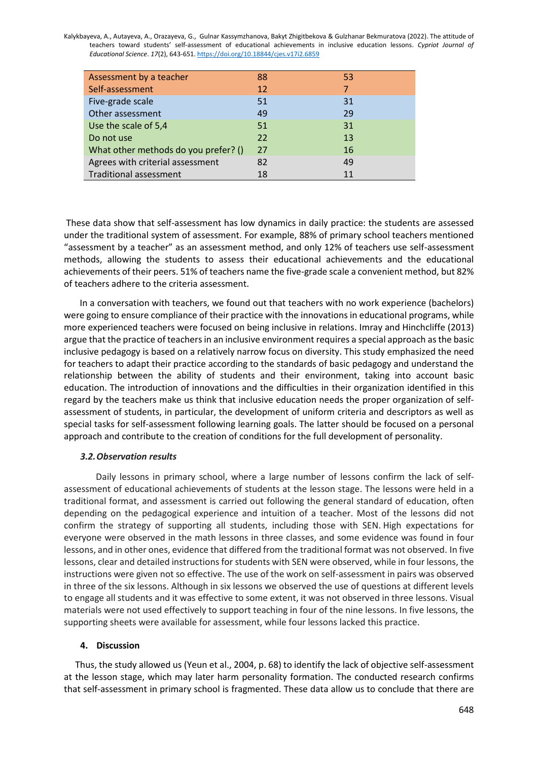| Assessment by a teacher              | 88 | 53 |  |
|--------------------------------------|----|----|--|
| Self-assessment                      | 12 | 7  |  |
| Five-grade scale                     | 51 | 31 |  |
| Other assessment                     | 49 | 29 |  |
| Use the scale of 5,4                 | 51 | 31 |  |
| Do not use                           | 22 | 13 |  |
| What other methods do you prefer? () | 27 | 16 |  |
| Agrees with criterial assessment     | 82 | 49 |  |
| <b>Traditional assessment</b>        | 18 | 11 |  |

These data show that self-assessment has low dynamics in daily practice: the students are assessed under the traditional system of assessment. For example, 88% of primary school teachers mentioned "assessment by a teacher" as an assessment method, and only 12% of teachers use self-assessment methods, allowing the students to assess their educational achievements and the educational achievements of their peers. 51% of teachers name the five-grade scale a convenient method, but 82% of teachers adhere to the criteria assessment.

 In a conversation with teachers, we found out that teachers with no work experience (bachelors) were going to ensure compliance of their practice with the innovations in educational programs, while more experienced teachers were focused on being inclusive in relations. Imray and Hinchcliffe (2013) argue that the practice of teachers in an inclusive environment requires a special approach as the basic inclusive pedagogy is based on a relatively narrow focus on diversity. This study emphasized the need for teachers to adapt their practice according to the standards of basic pedagogy and understand the relationship between the ability of students and their environment, taking into account basic education. The introduction of innovations and the difficulties in their organization identified in this regard by the teachers make us think that inclusive education needs the proper organization of selfassessment of students, in particular, the development of uniform criteria and descriptors as well as special tasks for self-assessment following learning goals. The latter should be focused on a personal approach and contribute to the creation of conditions for the full development of personality.

## *3.2.Observation results*

Daily lessons in primary school, where a large number of lessons confirm the lack of selfassessment of educational achievements of students at the lesson stage. The lessons were held in a traditional format, and assessment is carried out following the general standard of education, often depending on the pedagogical experience and intuition of a teacher. Most of the lessons did not confirm the strategy of supporting all students, including those with SEN. High expectations for everyone were observed in the math lessons in three classes, and some evidence was found in four lessons, and in other ones, evidence that differed from the traditional format was not observed. In five lessons, clear and detailed instructions for students with SEN were observed, while in four lessons, the instructions were given not so effective. The use of the work on self-assessment in pairs was observed in three of the six lessons. Although in six lessons we observed the use of questions at different levels to engage all students and it was effective to some extent, it was not observed in three lessons. Visual materials were not used effectively to support teaching in four of the nine lessons. In five lessons, the supporting sheets were available for assessment, while four lessons lacked this practice.

## **4. Discussion**

 Thus, the study allowed us (Yeun et al., 2004, p. 68) to identify the lack of objective self-assessment at the lesson stage, which may later harm personality formation. The conducted research confirms that self-assessment in primary school is fragmented. These data allow us to conclude that there are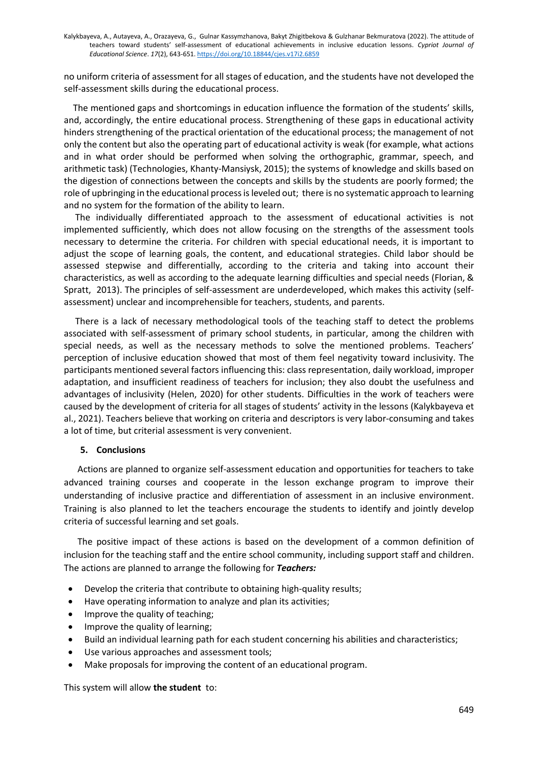no uniform criteria of assessment for all stages of education, and the students have not developed the self-assessment skills during the educational process.

 The mentioned gaps and shortcomings in education influence the formation of the students' skills, and, accordingly, the entire educational process. Strengthening of these gaps in educational activity hinders strengthening of the practical orientation of the educational process; the management of not only the content but also the operating part of educational activity is weak (for example, what actions and in what order should be performed when solving the orthographic, grammar, speech, and arithmetic task) (Technologies, Khanty-Mansiysk, 2015); the systems of knowledge and skills based on the digestion of connections between the concepts and skills by the students are poorly formed; the role of upbringing in the educational process is leveled out; there is no systematic approach to learning and no system for the formation of the ability to learn.

 The individually differentiated approach to the assessment of educational activities is not implemented sufficiently, which does not allow focusing on the strengths of the assessment tools necessary to determine the criteria. For children with special educational needs, it is important to adjust the scope of learning goals, the content, and educational strategies. Child labor should be assessed stepwise and differentially, according to the criteria and taking into account their characteristics, as well as according to the adequate learning difficulties and special needs (Florian, & Spratt, 2013). The principles of self-assessment are underdeveloped, which makes this activity (selfassessment) unclear and incomprehensible for teachers, students, and parents.

 There is a lack of necessary methodological tools of the teaching staff to detect the problems associated with self-assessment of primary school students, in particular, among the children with special needs, as well as the necessary methods to solve the mentioned problems. Teachers' perception of inclusive education showed that most of them feel negativity toward inclusivity. The participants mentioned several factors influencing this: class representation, daily workload, improper adaptation, and insufficient readiness of teachers for inclusion; they also doubt the usefulness and advantages of inclusivity (Helen, 2020) for other students. Difficulties in the work of teachers were caused by the development of criteria for all stages of students' activity in the lessons (Kalykbayeva et al., 2021). Teachers believe that working on criteria and descriptors is very labor-consuming and takes a lot of time, but criterial assessment is very convenient.

## **5. Conclusions**

 Actions are planned to organize self-assessment education and opportunities for teachers to take advanced training courses and cooperate in the lesson exchange program to improve their understanding of inclusive practice and differentiation of assessment in an inclusive environment. Training is also planned to let the teachers encourage the students to identify and jointly develop criteria of successful learning and set goals.

 The positive impact of these actions is based on the development of a common definition of inclusion for the teaching staff and the entire school community, including support staff and children. The actions are planned to arrange the following for *Teachers:*

- Develop the criteria that contribute to obtaining high-quality results;
- Have operating information to analyze and plan its activities;
- Improve the quality of teaching;
- Improve the quality of learning;
- Build an individual learning path for each student concerning his abilities and characteristics;
- Use various approaches and assessment tools;
- Make proposals for improving the content of an educational program.

This system will allow **the student** to: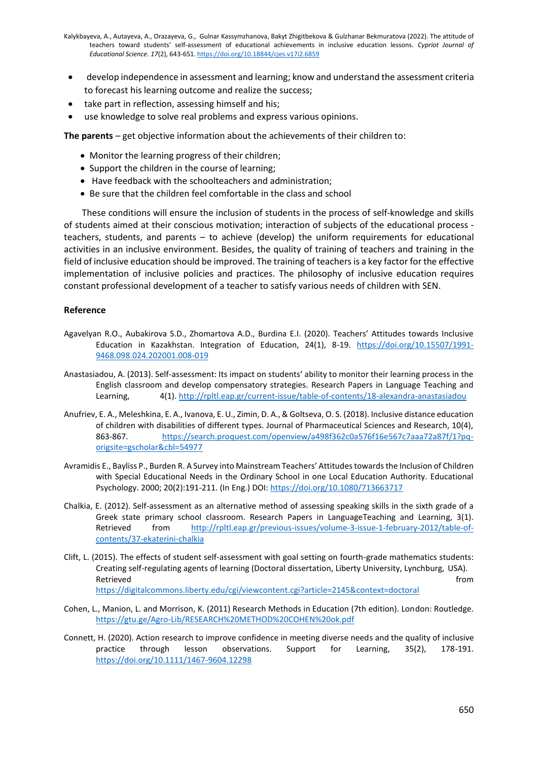- develop independence in assessment and learning; know and understand the assessment criteria to forecast his learning outcome and realize the success;
- take part in reflection, assessing himself and his;
- use knowledge to solve real problems and express various opinions.

**The parents** – get objective information about the achievements of their children to:

- Monitor the learning progress of their children;
- Support the children in the course of learning;
- Have feedback with the schoolteachers and administration;
- Be sure that the children feel comfortable in the class and school

 These conditions will ensure the inclusion of students in the process of self-knowledge and skills of students aimed at their conscious motivation; interaction of subjects of the educational process teachers, students, and parents – to achieve (develop) the uniform requirements for educational activities in an inclusive environment. Besides, the quality of training of teachers and training in the field of inclusive education should be improved. The training of teachers is a key factor for the effective implementation of inclusive policies and practices. The philosophy of inclusive education requires constant professional development of a teacher to satisfy various needs of children with SEN.

#### **Reference**

- Agavelyan R.O., Aubakirova S.D., Zhomartova A.D., Burdina E.I. (2020). Teachers' Attitudes towards Inclusive Education in Kazakhstan. Integration of Education, 24(1), 8-19. [https://doi.org/10.15507/1991-](https://doi.org/10.15507/1991-9468.098.024.202001.008-019) [9468.098.024.202001.008-019](https://doi.org/10.15507/1991-9468.098.024.202001.008-019)
- Anastasiadou, A. (2013). Self-assessment: Its impact on students' ability to monitor their learning process in the English classroom and develop compensatory strategies. Research Papers in Language Teaching and Learning, 4(1).<http://rpltl.eap.gr/current-issue/table-of-contents/18-alexandra-anastasiadou>
- Anufriev, E. A., Meleshkina, E. A., Ivanova, E. U., Zimin, D. A., & Goltseva, O. S. (2018). Inclusive distance education of children with disabilities of different types. Journal of Pharmaceutical Sciences and Research, 10(4), 863-867. [https://search.proquest.com/openview/a498f362c0a576f16e567c7aaa72a87f/1?pq](https://search.proquest.com/openview/a498f362c0a576f16e567c7aaa72a87f/1?pq-origsite=gscholar&cbl=54977)[origsite=gscholar&cbl=54977](https://search.proquest.com/openview/a498f362c0a576f16e567c7aaa72a87f/1?pq-origsite=gscholar&cbl=54977)
- Avramidis E., Bayliss P., Burden R. A Survey into Mainstream Teachers' Attitudes towards the Inclusion of Children with Special Educational Needs in the Ordinary School in one Local Education Authority. Educational Psychology. 2000; 20(2):191-211. (In Eng.) DOI[: https://doi.org/10.1080/713663717](https://doi.org/10.1080/713663717)
- Chalkia, E. (2012). Self-assessment as an alternative method of assessing speaking skills in the sixth grade of a Greek state primary school classroom. Research Papers in LanguageTeaching and Learning, 3(1). Retrieved from [http://rpltl.eap.gr/previous-issues/volume-3-issue-1-february-2012/table-of](http://rpltl.eap.gr/previous-issues/volume-3-issue-1-february-2012/table-of-contents/37-ekaterini-chalkia)[contents/37-ekaterini-chalkia](http://rpltl.eap.gr/previous-issues/volume-3-issue-1-february-2012/table-of-contents/37-ekaterini-chalkia)
- Clift, L. (2015). The effects of student self-assessment with goal setting on fourth-grade mathematics students: Creating self-regulating agents of learning (Doctoral dissertation, Liberty University, Lynchburg, USA). Retrieved **from the contract of the contract of the contract of the contract of the contract of the contract of the contract of the contract of the contract of the contract of the contract of the contract of the contract o** <https://digitalcommons.liberty.edu/cgi/viewcontent.cgi?article=2145&context=doctoral>
- Cohen, L., Manion, L. and Morrison, K. (2011) Research Methods in Education (7th edition). London: Routledge. <https://gtu.ge/Agro-Lib/RESEARCH%20METHOD%20COHEN%20ok.pdf>
- Connett, H. (2020). Action research to improve confidence in meeting diverse needs and the quality of inclusive practice through lesson observations. Support for Learning, 35(2), 178-191. <https://doi.org/10.1111/1467-9604.12298>